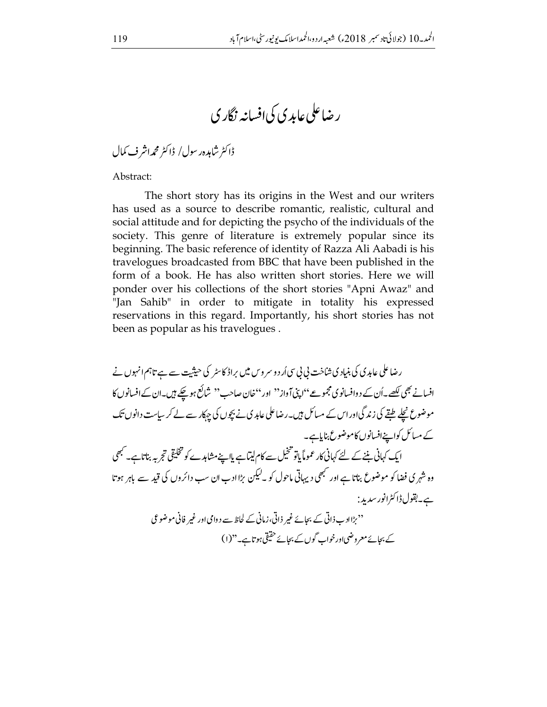## ر ضاعلی عابد ی کی افسانیہ نگار ی

ڈاکٹر شاہدہرسول/ ڈاکٹر محمہ اشر ف کمال

Abstract:

The short story has its origins in the West and our writers has used as a source to describe romantic, realistic, cultural and social attitude and for depicting the psycho of the individuals of the society. This genre of literature is extremely popular since its beginning. The basic reference of identity of Razza Ali Aabadi is his travelogues broadcasted from BBC that have been published in the form of a book. He has also written short stories. Here we will ponder over his collections of the short stories "Apni Awaz" and "Jan Sahib" in order to mitigate in totality his expressed reservations in this regard. Importantly, his short stories has not been as popular as his travelogues.

رضاعلی عابدی کی بنیاد کی شاخت پی پی سی اُر د و سر وس میں براڈ کاسٹر کی حیثیت سے ہے تاہم انہوں نے افسانے بھی لکھے۔اُن کے د وافسانوی مجموعے ''اپنی آواز'' اور ''خان صاحب'' شاکع ہوچکے ہیں۔ان کے افسانوں کا موضوع نچلے طقے کی زند گیااوراس کے مسائل ہیں۔رضاعلی عابد پی نے بچوں کی جہکار سے لے کر ساست دانوں تک کے مسائل کواپنےافسانوں کاموضوع بنایاہے۔ ایک کہانی بننے کے لئے کہانی کار عموماً پاتو تنخیل سے کام لیتا ہے پااپنے مشاہدے کو تخلیقی تجربہ بناتاہے۔ کبھی وہ شہر کی فضا کو موضوع بناتا ہے اور سبھی دیہاتی ماحول کو ۔لیکن بڑا ادب ان سب دائروں کی قید سے باہر ہوتا ہے۔بقولڈاکٹرانورسدید : ''بڑاادب ذاتی کے بجائے غیر ذاتی،زمانی کے لحاظ سے د دامی اور غیر فانی موضوعی کے بجائے معروضی اور خواب گوں کے بجائے حقیقی ہوتاہے۔"(۱)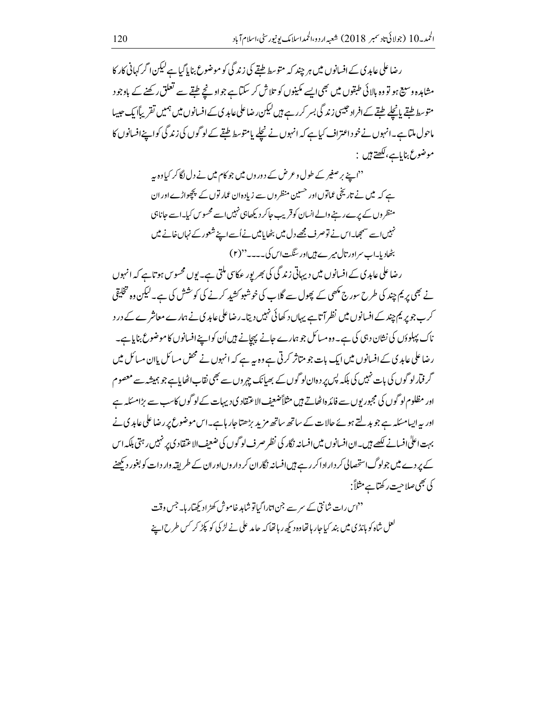ر ضاعلی عابدی کے افسانوں میں ہر چند کہ متوسط طقے کی زند گی کو موضوع بنایا گیا ہے کیکن اگر کہانی کار کا مشاہدہ وسیع ہو تو وہ بالائی طبقوں میں بھی ایسے مکینوں کو تلاش کر سکتا ہے جواونحے طبقے سے تعلق رکھنے کے باوجود متوسط <u>طبقے پانچلے طبقے کے</u> افراد حبیبی زندگی بسر کررہے ہیں کیکن رضاعلی عابدی کے افسانوں میں ہمیں تقریباًا یک حبیبا ماحول ملتا ہے۔انہوں نے خوداعتراف کیاہے کہ انہوں نے نچلے پامتوسط طبقے کے لوگوں کی زند گی کواپنےافسانوں کا موضوع بناياہے،لکھتے ہيں :

> ''اپنے بر صغیر کے طول و عرض کے دوروں میں جو کام میں نے دل لگا کر کیاوہ پہ ہے کہ میں نے تاریخی عماتوں اور حسین منظر وں سے زیاد ہان عمار توں کے پچھواڑے اور ان منظر وں کے پرے رہنے والے انسان کوقریب جاکر دیکھاہی نہیں اسے محسوس کیا۔اسے جاناہی نہیں اسے سمجھا۔اس نے توصر ف مجھے دل میں بٹھایامیں نے اُسے اپنے شعور کے نہاں خانے میں بٹھادیا۔اب سراور تال میر ے ہیںاور سنگت اس کی۔۔۔۔''(۲)

رضا علی عابد ک کے افسانوں میں دیہاتی زند گی کی بھر پور عکاسی ملتی ہے۔ یوں محسوس ہوتا ہے کہ انہوں نے بھی پر یم چند کی طرح سورج مکھی کے پھول سے گلاب کی خوشبو کشید کرنے کی کوشش کی ہے۔لیکن وہ تخلیقی کرے جو پر یم چند کے افسانوں میں نظر آتاہے یہاں د کھائی نہیں دیتا۔رضاعلی عابد کی نے ہمارے معاشر ے کے در د ناک پہلوؤں کی نشان دہی کی ہے۔ وہ مسائل جو ہمارے جانے پہچانے بیں اُن کواپنے افسانوں کا موضوع بنایاہے۔ رضا علی عابد ی کے افسانوں میں ایک بات جو متاثر کرتی ہے وہ یہ ہے کہ انہوں نے محض مسائل پاان مسائل میں گر فیار لو گوں کی بات نہیں کی بلکہ پس پر دہان لو گوں کے بھیانک جہروں سے بھی نقاب اٹھایاہے جو ہمیشہ سے معصوم اور مظلوم لو گوں کی مجبور یوں سے فائد ہاٹھاتے ہیں مثلاً ضعیف الاعتقاد کی دیہات کے لو گوں کاسب سے بڑامسکہ ہے اور یہ ایپامسکہ ہے جو بدلتے ہوئے حالات کے ساتھ ساتھ مزید بڑھتاجار ہاہے۔اس موضوع پر رضاعلی عابد ی نے بہت اعلیٰ افسانے کیسے ہیں۔ان افسانوں میں افسانہ نگار کی نظر صرف لو گوں کی ضعف الاعتقاد کی پر نہیں رہتی بلکہ اس کے پر دے میں جولوگ استحصالی کر دارادا کر رہے ہیں افسانہ نگاران کر دار وںاوران کے طریقہ وار دات کو بغور دیکھنے کی بھی صلاحت رکھتاہے مثلاً:

> <sup>دد</sup>اس رات شانتی کے سر سے جن اتارا گیاتو شاہد خاموش کھڑ ادیکھیار ہا۔ جس وقت لعل شاہ کو مانڈی میں بند کیا جار ہاتھاوہ دیکھ رہاتھا کہ جامد علی نے لڑ کی کو پکڑ کر <sup>کس</sup> طرح1ے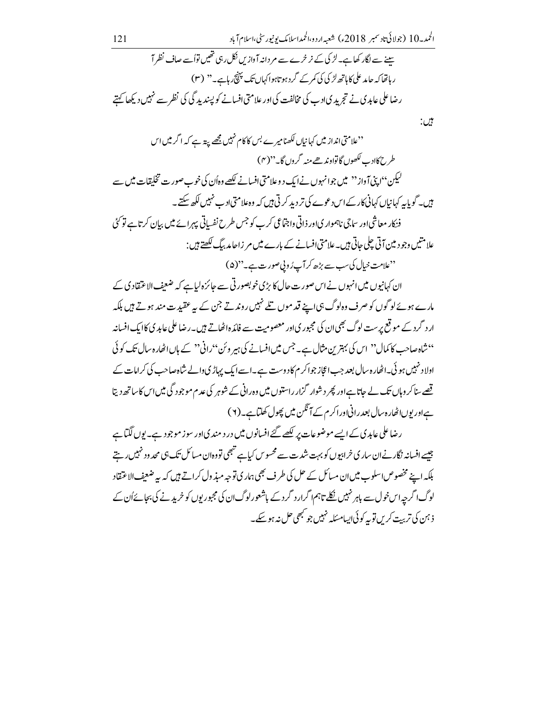بين:

''علامتی انداز میں کہانیاں لکھنامیرے <sup>یس</sup> کا کام نہیں <u>ب</u>ھے پیتہ ہے کہ اگر میں اس طر رحمکادے لکھوں گاتواوندھے منہ گروں گا۔''(۴) لیکن'' پنی آ واز'' میں جوانہوں نے ایک د وعلامتی افسانے لکھے وہاُن کی خوب صورت تخلیقات میں سے ہیں۔ گو پابیہ کہانیاں کہانی کار کے اس دعوے کی تر دید کرتی ہیں کہ وہ علامتی ادے نہیں لکھ سکتے۔ فنکار معاشی اور ساجی ناہمواری اور ذاتی واجتماعی کرب کو جس طرح نفسیاتی پہرائے میں بیان کرتاہے تو گئی علامتیں وجو د مین آتی چلی حاتی ہیں۔علامتی افسانے کے بارے میں مر زاحا مد بیگ لکھتے ہیں : ''علامت خیال کی سب سے بڑھ کر آپ ُروپی صورت ہے۔''(۵)

ان کہانیوں میں انہوں نے اس صورت حال کا بڑی خوبصور تی سے جائزہ لیاہے کہ ضعیف الاعتقاد کی کے مارے ہوئے لوگوں کو صرف وہ لوگ ہی اپنے قد موں تلے نہیں روند تے جن کے بہ عقید ت مند ہوتے ہیں بلکہ ار د گرد کے موقع پر ست لوگ بھی ان کی مجبور یااور معصومیت سے فائدہ اٹھاتے ہیں۔رضاعلی عابد یکاایک افسانہ " شاہ صاحب کا کمال '' اس کی بہترین مثال ہے۔ جس میں افسانے کی ہیر وئن ''رانی'' کے ہاں اٹھارہ سال تک کوئی اولاد نہیں ہو ئی۔اٹھار ہ سال بعد جب اعجاز جواکر م کاد وست ہے۔اسے ایک پہاڑی دالے شاہ صاحب کی کرامات کے قصے سناکر وہاں تک لے جاتاہےاور پھر دشوار گزار راستوں میں وہ رانی کے شوہر کی عدم موجود گی میں اس کا ساتھ دیتا ہےاور یوںا ٹھار ہ سال بعد رانی اور اکر م کے آ ٹکن میں پھول کھلیاہے۔(۲)

رضاعلی عابدی کے ایسے موضوعات پر لکھے گئے افسانوں میں در د مند یااور سوز موجود ہے۔ یوں لگتاہے جیسے افسانہ نگار نےان ساری خرابیوں کو بہت شدت سے محسوس کیاہے تبھی تووہان مسائل تک ہی محد ود نہیں رہتے بلکہ اپنے مخصوص اسلوب میں ان مسائل کے حل کی طرف بھی ہمار کی توجہ میڈ ول کراتے ہیں کہ یہ ضعیف الاعتقاد لوگ اگر حہ اس خول سے باہر نہیں نکلے تاہم اگرار د گرد کے باشعور لوگ ان کی مجبور یوں کو خرید نے کی بجائےاُن کے ذ ہن کی تربت کریں توبہ کوئی <sub>ایسا</sub>مسئلہ نہیں جو کبھی حل نہ ہوسکے۔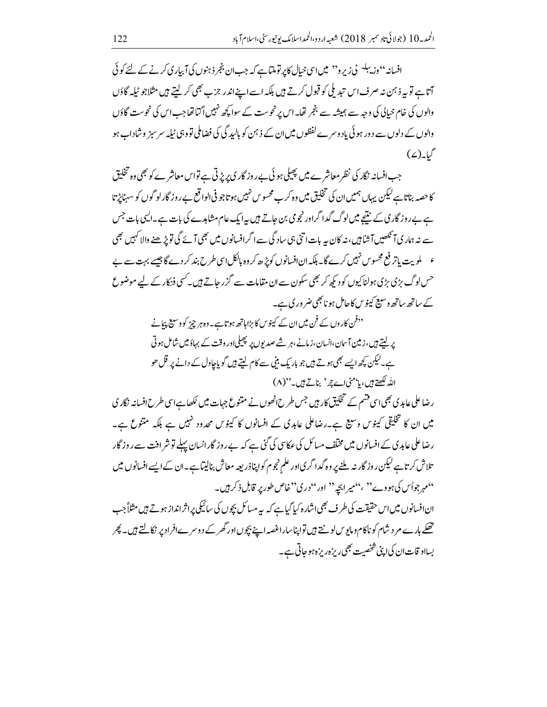افسانہ''وزیبلہ ٹی زیرو'' میں اسی خیال کاپر توملتاہے کہ جب ان بنجر ذہنوں کی آبیار کی کرنے کے لئے کوئی آتاہے تو بیہ ذہن نہ صرف اس تبدیلی کو قبول کرتے ہیں بلکہ اسے اپنےاندر جزب بھی کر لیتے ہیں مثلاجو ٹیلہ گاؤں والوں کی خام خیالی کی وجہ سے ہمیشہ سے بنجر تھا۔اس پرنحوست کے سوا کچھ نہیں اگنا تھا جب اس کی نحوست گاؤں والوں کے دلوں سے د ور ہو ئی یاد وسر ے لفظوں میں ان کے ذہن کو پالید گی کی فضاملی تو وہی ٹیلہ سر سبز وشاداب ہو  $(2)$ ىلىلىك $($ 

جب افسانہ نگار کی نظر معاشرے میں پھیلی ہوئی ہے روز گار کی پر پڑتی ہے تواس معاشرے کو بھی وہ تخلیق کا حصہ بناتا ہے کیکن پہاں ہمیں ان کی تخلیق میں وہ کرے محسوس نہیں ہو تاجو فی الواقع بے روز گارلو گوں کو سہناٹرتا ہے بے روز گار پی کے نتیجے میں لوگ گدا گراور نجو می بن جاتے ہیں پہ ایک عام مشاہدے کی بات ہے۔ایسی بات جس سے نہ ہمار یا آنکھیں آشا ہیں، نہ کان ہہ بات اتنی ہی ساد گی سے اگرافسانوں میں بھی آئے گی تویڑ ھنے والا کہیں بھی ء \_ ملويت پاتر فع محسوس نہيں کرے گا۔ بلکہ انافسانوں کوپڑ ھ کر وہ ہالکل اسی طرح بند کر دے گا جیسے بہت سے بے حس لوگ بڑی بڑی ہولناکیوں کو دیکھ کر بھی سکون سے ان مقامات سے گزر جاتے ہیں۔ کسی فنکار کے لیے موضوع کے ساتھ ساتھ وسیع کینوس کاحامل ہو نابھی ضر ور ک ہے۔

> <sup>د د</sup>فن کار وں کے فن میں ان کے کینوس کا بڑا ہاتھ ہو تاہے۔ وہ ہر چز کو وسیع پہانے پر لیتے ہیں، زمین آسان،انسان، زمانے،ہر شے صدیوں پر پھیلی اور وقت کے بہاؤمیں شامل ہو تی ہے۔لیکن کچھ ایسے بھی ہوتے ہیں جو بار یک بنی سے کام لیتے ہیں گو پاجاول کے دانے پر قل حو الله لکھتے ہیں، ما'منی اے چر' بناتے ہیں۔''(۸)

ر ضاعلی عابد ی بھی اسی قشم کے تخلیق کار ہیں جس طرح انھوں نے متنوع جہات میں لکھا ہے اسی طرح افسانہ نگار ی میں ان کا تخلیقی کینوس و سیع ہے۔رضاعلی عابدی کے افسانوں کا کینوس محدود نہیں ہے بلکہ منتوع ہے۔ رضاعلی عابد ی کے افسانوں میں مخلف مسائل کی عکاسی کی گئی ہے کہ بے روز گار انسان پہلے تو شر افت سے روز گار تلاش کرتا ہے لیکن روز گار نہ ملنے پر وہ گدا گر یااور علم نجوم کواپناذ ریعہ معاش بنالیتا ہے۔ان کے ایسے افسانوں میں "مہر جواُس کی ہووے'' ،"میر ابجہ" اور "دری"خاص طور پر قابل ذکر ہیں۔ ان افسانوں میں اس حقیقت کی طرف بھی اشارہ کیاگیاہے کہ یہ مسائل بچوں کی سائیکی پراثرانداز ہوتے ہیں مثلاً جب تھکے ہارے مر د شام کو ناکام ومایوس لوٹتے ہیں تواپناساراغصہ اپنے بچوں اور گھر کے د وسرے افراد پر نکالتے ہیں۔ پھر بسااو قات ان کی ای<sup>تی شخصیت</sub> بھی ریزہ ریزہ ہو جاتی ہے۔</sup>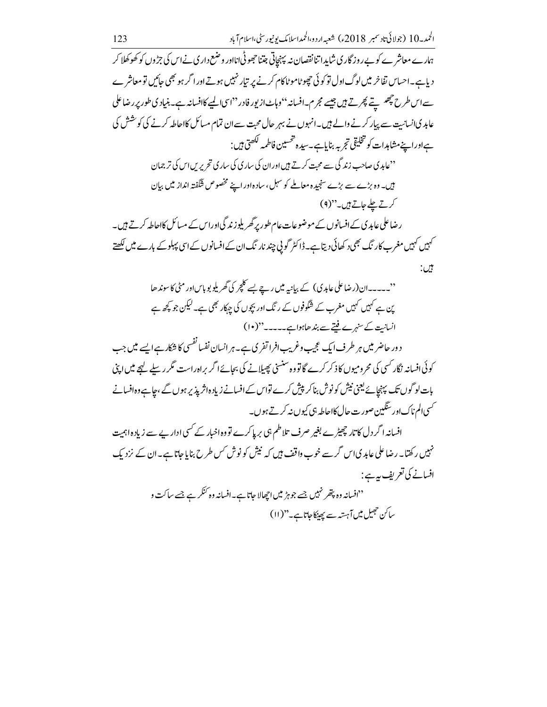ہمارے معاشرے کو بے روز گار ی شاید اتنا نقصان نہ پہنچاتی جتناحجھوٹی انااور وضع داری نے اس کی جڑوں کو کھوکھلا کر دیاہے۔احساس نفاخر میں لوگ اول تو کوئی حجھوٹاموٹاکام کرنے پر تیار نہیں ہوتے اور اگر ہو بھی جائیں تو معاشرے سے اس طرح چھىسے پھرتے ہيں جيسے مجرم۔افسانہ''وہاٹ از پور فادر''اسی المپے کاافسانہ ہے۔بنیادی طور پر رضاعلی عابد کاانسانیت سے پیار کرنے والے ہیں۔انہوں نے بہر حال محبت سے ان تمام مسائل کااحاطہ کرنے کی کوشش کی ہےاوراپنےمشاہدات کو تخلیقی تجربہ بنایاہے۔سیدہ تحسین فاطمہ لکھتی ہیں : ''عابدی صاحب زند گی سے محت کرتے <del>ہ</del>یں اور ان کی ساری کی ساری تحریر پں اس کی تر جمان ہیں۔ وہ بڑے سے بڑے سنجیدہ معاملے کو سہل ، سادہ اور اپنے مخصوص شگفتہ انداز میں بیان کرتے علے جاتے ہیں۔"(۹) رضاعلی عابد ک کے افسانوں کے موضوعات عام طور پر گھر پلوزند گیااوراس کے مسائل کااحاطہ کرتے ہیں۔ <sup>کہ</sup>بیں کہیں مغرب کار ٹک بھی د کھائی دیتاہے۔ڈاکٹر گو ٹی چند نار ٹک ان کے افسانوں کے اسی پہلوکے بارے میں <del>لکھتے</del> بين:

''۔۔۔۔۔ان(رضاعلی عابد پی) کے بیانیہ میں رہے یسے کلچر کی گھریلو بو پاساور مٹی کاسوندھا ین ہے کہیں کہیں مغرب کے شگوفوں کے رنگ اور بچوں کی چہکار بھی ہے۔لیکن جو کچھ ہے انسانت کے سنہرے فتے ہے بندھاہواہے۔۔۔۔۔''(۱۰)

د ور حاضر میں ہر طرف ایک عجیب وغریب افرا تفری ہے۔ ہر انسان نفسا نفسی کا شکار ہے ایسے میں جب کوئی افسانہ نگار کسی کی محرومیوں کاذکر کرے گا تو وہ سنسیٰ پھیلانے کی بجائےا گر براہ راست مگر ر سلے لہجے میں اپنی یات لو گوں تک پہنچائے یعنی نیش کونوش بناکر پیش کرے تواس کے افسانے زیاد ہانژیذ پر ہوں گے ،جاہے وہافسانے <sup>گس</sup>ی الم ناک اور سنگین صور ت حال کااحاطہ ہی کیوں نہ کرتے ہوں۔

افسانہ ا گر دل کا تار چھیڑے بغیر صرف تلاطم ہی پر پاکرے تو وہ اخبار کے کسی ادار بے سے زیاد ہاہمیت نہیں رکھتا۔رضا علی عابدیاس گرسے خوب واقف ہیں کہ نیش کو نوش <sup>کس</sup> طرح بنایاجاتا ہے۔ان کے نزد یک افسانے کی تعریف ہے :

<sup>د د</sup>افسانہ وہ پ*تھر* نہیں جسے جوہڑ میں اچھالا جاتا ہے۔افسانہ وہ <sup>کنک</sup>ر ہے جسے ساکت و ساكن حجيل ميں آہستہ سے پھينکاجاتاہے۔"(١١)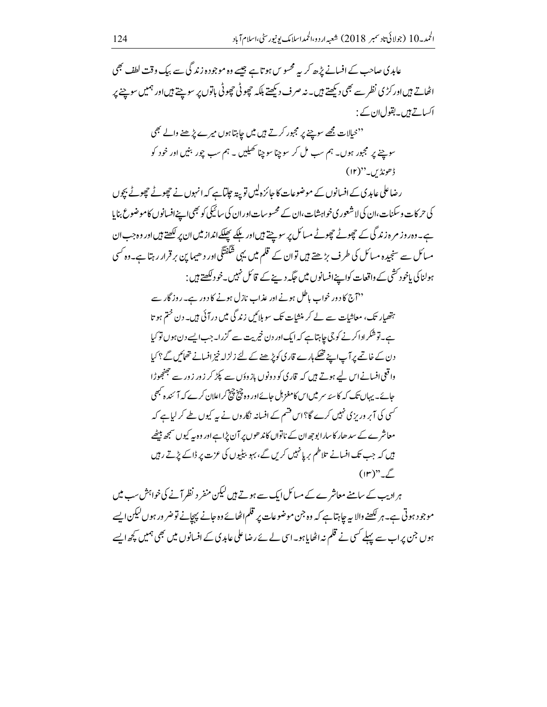عابدی صاحب کے افسانے پڑھ کر ہیہ محسوس ہوتا ہے جیسے وہ موجودہ زند گی سے بیک وقت لطف بھی اٹھاتے ہیںاور کڑی نظر سے بھی دیکھتے ہیں۔ نہ صرف دیکھتے بلکہ حچوٹی حچوٹی باتوں پر سوچتے ہیںاور ہمیں سوچنے پر اکساتے ہیں۔بقول ان کے : ''خیالات مجھے سوچنے پر مجبور کرتے ہیں میں جاہتا ہوں میرے پڑھنے والے بھی سوچے پر مجبور ہوں۔ ہم سب مل کر سوچنا سوچنا تھیلیں ۔ ہم سب چور بنیں اور خود کو ڈھونڈیں۔"(۱۲) رضاعلی عابدی کے افسانوں کے موضوعات کا جائزہ لیں تو پیتہ جاتا ہے کہ انہوں نے چھوٹے چھوٹے بچوں کی حرکات و سکنات،ان کی لاشعور ی خواہشات،ان کے محسوسات اور ان کی سائیکی کو بھی اپنے افسانوں کاموضوع بنایا ہے۔وہ روز مر ہ زند گی کے چھوٹے چھوٹے مسائل پر سوچتے ہیں اور ملکے پھلکے انداز میں ان پر لکھتے ہیں اور وہ جب ان مسائل سے سنجیدہ مسائل کی طرف بڑھتے ہیں توان کے قلم میں یہی شَکَفْتَگی اور دھیما ین برقرار رہتا ہے۔وہ کسی ہولناکی یاخود کشی کے واقعات کواپنےافسانوں میں جگہ دینے کے قائل نہیں۔خود لکھتے ہیں : ''آج کا دور خواب پاطل ہونے اور عذاب نازل ہونے کا دور ہے۔ روزگار سے ہتھیار تک، معاشات سے لے کر منشات تک سو ہلائیں زند گی میں درآئی ہیں۔ دن ختم ہو تا ہے۔توشکرادا کرنے کو جی جاہتاہے کہ ایک اور دن خیریت سے گزرا۔جب ایسے دن ہوں تو کیا دن کے خاتمے پر آپ سے تھکے ہارے قاری کوپڑ ھنے کے لئے زلزلہ خیز افسانے تھائیں گے ؟ کیا واقعی افسانے اس لیے ہوتے ہیں کہ قاری کو دونوں بازوؤں سے پکڑ کر زور زور سے جھنجھوڑا جائے۔ یہاں تک کہ کاسئہ سر میں اس کامغز ہل جائے اور وہ چینچیج کراعلان کرے کہ آ' ئندہ مجھی <sup>کس</sup>ی کی آپر وریزی نہیں کرے گا؟اس قشم کے افسانہ <del>ن</del>گاروں نے یہ کیوں طے کر لیاہے کہ معاشر ے کے سد ھار کا سارا بوجھ ان کے ناتواں کاند ھوں پر آن پڑاہےاور وہ یہ کیوں سمجھ بیٹھے ہیں کہ جب تک افسانے تلاطم بر پانہیں کریں گے، بہو بیٹیوں کی عزت پر ڈاکے پڑتے رہیں  $(\mathbb{F})^n$   $\mathscr{I}$ ہر ادیب کے سامنے معاشر ے کے مسائل ایک سے ہوتے ہیں لیکن منفر د نظر آنے کی خواہش سب میں

موجود ہوتی ہے۔ ہر لکھنے والا ہہ جاہتاہے کہ وہ جن موضوعات پر قلم اٹھائے وہ جانے پہچانے توضر ور ہوں لیکن ایسے ہوں جن پر اب سے پہلے کسی نے قلم نہ اٹھایاہو۔اسی لے بے رضاعلی عابد ی کے افسانوں میں بھی ہمیں کچھ ایسے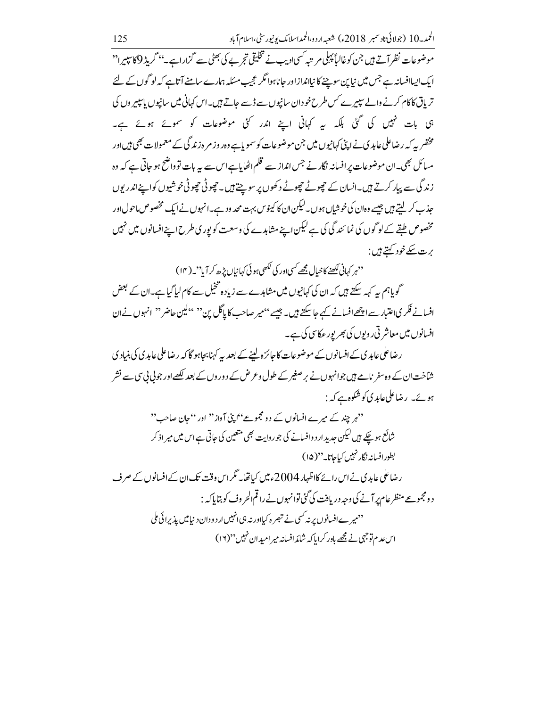موضوعات نظر آتے ہیں جن کوغالیاً پہلی مر تبہ کسی <sub>ا</sub>دیب نے تخلیقی تجر بے کی بھٹی سے گزاراہے۔'' گریڈِ 9کا پپیرا'' ایک ایساافسانہ ہے جس میں نیاین سوچنے کا نیااندازاور جاناہوا مگر عجیب مسکلہ ہمارے سامنے آتاہے کہ لو گوں کے لئے تریاق کاکام کرنے والے سپیرے کس طرح خود ان سانیوں سے ڈسے جاتے ہیں۔اس کہانی میں سانیوں پاسپیر وں کی ہی بات نہیں کی گئی بلکہ ہیر کہانی اپنے اندر کئی موضوعات کو سموئے ہوئے ہے۔ مختصر سہ کہ رضاعلی عابد ک نے اپنی کہانیوں میں جن موضوعات کو سمویاہے وہر وز مر ہ زند گی کے معمولات بھی ہیں اور مسائل بھی۔ان موضوعات پر افسانہ نگار نے جس انداز سے قلم اٹھایاہےاس سے پہ بات تو داضح ہو جاتی ہے کہ وہ زند گی سے پیار کرتے ہیں۔انسان کے چھوٹے چھوٹے دکھوں پر سوچتے ہیں۔ چھوٹی چھوٹی خوشیوں کواپنےاندر پوں جذب کر لیتے ہیں جیسے وہان کی خوشیاں ہوں۔لیکن ان کا کینوس بہت محد ود ہے۔انہوں نے ایک مخصوص ماحول اور مخصوص طبقے کے لوگوں کی نمائند گی کی ہے لیکن اپنے مشاہدے کی وسعت کو پوری طرح اپنے افسانوں میں نہیں ېرت سکے خود <u>کهتے ہيں</u> :

''ہر کہانی لکھنے کا خیال مجھے کسی اور کی لکھی ہو ئی کہانیاں بڑھ کر آیا''۔(۱۴)

گو پاہم یہ کہہ سکتے ہیں کہ ان کی کہانیوں میں مشاہدے سے زیادہ تخیل سے کام لیاگیاہے۔ان کے بعض افسانے فکر کیاعتبار سے اچھے افسانے کیے جاسکتے ہیں۔ جیسے ''میر صاحب کا پاگل بن'' ''کین حاضر'' انہوں نےان افسانوں میں معاشر تی روبوں کی بھر بور عکاسی کی ہے۔

رضاعلی عابد کی کے افسانوں کے موضوعات کا جائزہ لینے کے بعد یہ کہنا بحاہو گا کہ رضاعلی عابد کی کی بنیاد کی شاخت ان کے وہ سفر نامے ہیں جوانہوں نے بر صغیر کے طول و عرض کے دور وں کے بعد لکھےاور جو پی پی سے نشر ہوئے۔ رضاعلیٰعابدی کوشکوہ ہے کہ :

''ہر چند کے میرے افسانوں کے دو مجموعے''اپنی آواز'' اور ''جان صاحب'' شائع ہو چکے ہیں لیکن حدید ارد وافسانے کی جو روایت بھی متعین کی حاتی ہے اس میں میر اذ کر بطورافسانه نگار نہیں کیاجاتا۔''(۱۵)

رضاعلی عابدی نے اس رائے کااظہار 2004ءمیں کیاتھا۔ مگراس وقت تک ان کے افسانوں کے صرف د ومجموعے منظر عام پر آنے کی وجہ دریافت کی گئی توانہوں نے را قمالحر وف کو بتایا کہ : ''میر ےافسانوں پر نہ <sup>کس</sup>ی نے تبصر ہ کیااور نہ ہی انہیں ار دودان دینامیں پذیرائی ملی اس عدم توجہی نے مجھے باور کرایا کہ شائدافسانہ میر امیدان نہیں''(۱۶)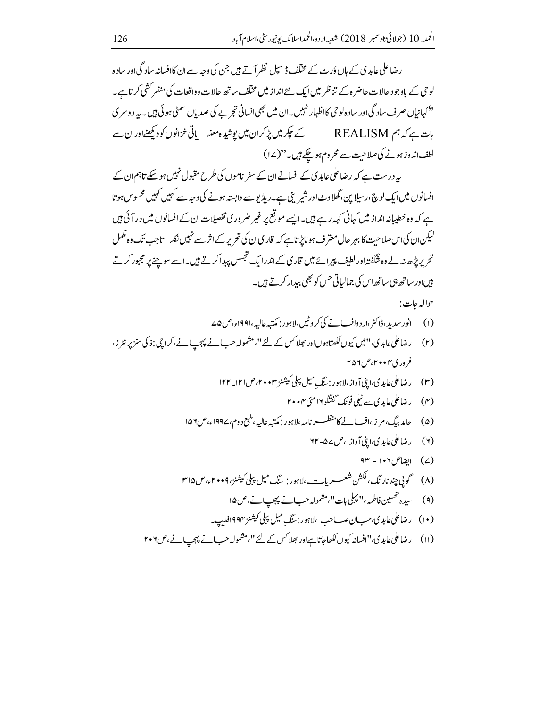رضاعلی عابدی کے ہاں دَرٹ کے مختلف ڈیپل نظر آتے ہیں جن کی وجہ سے ان کاافسانہ سادگی اور سادہ لوحی کے باوجود حالات حاضر ہ کے تناظر میں ایک نئے انداز میں مختلف ساتھ حالات وواقعات کی منظر کشی کرتاہے۔ <sup>د د</sup> کہانیاں صرف سادگی اور ساد ہ لوحی کااظہار <sup>مہ</sup>بیں۔ان میں بھی انسانی تجر بے کی صد پاں سمٹی ہو ئی <del>ہ</del>یں۔ یہ د وسر ی لطف اندوزہونے کی صلاحیت سے محروم ہوچکے ہیں۔"(۱۷)

یہ درست ہے کہ رضاعلی عابد کی کے افسانےان کے سفر ناموں کی طرح مقبول نہیں ہو سکے تاہم ان کے افسانوں میں ایک لوچ ،ر سیلاین، گھلاوٹ اور شیر بنی ہے۔ریڈیو سے وابستہ ہونے کی وجہ سے کہیں کہیں محسو س ہوتا ہے کہ وہ خطیبانہ انداز میں کہانی کہہ رہے ہیں۔ایسے موقع پر غیر ضروری تفصیلات ان کے افسانوں میں در آئی ہیں لیکن ان کی اس صلاحیت کا بہر حال معترف ہو ناپڑ تاہے کہ قار کیان کی تحریر کے اثر سے نہیں نکلہ تاجب تک وہ مکمل تحریر پڑھ نہ لے وہ شگفتہ اور لطیف پیرائے میں قاری کے اندرایک تجسس پیدا کرتے ہیں۔اسے سوچنے پر مجبور کرتے <del>ہیں</del>اور ساتھ ہی ساتھ اس کی جمالیاتی حس کو بھی بیدار کرتے ہیں۔

## حواله حات:

- 
- (۲) رضاعلی عابدی،"میں کیوں لکھتاہوںاور بھلاکس کے لئے"،مشمولہ حبانے پہجیانے،کراچی:ذی سنز پر نٹر ز، فروري ۴۰۰٬۲۰۰ میل
	- - (۴) رضاعلی عابدی سے ٹیلی فونک گفتگو1امئی ۲۰۰۴
	- (۵) چامدېنگ، م زا،اف نے کامنظسسے نامہ،ااېور : مکتبہ عالیہ،طبع دوم،۱۹۹۷ء،ص۱۵۶
		- (۲) رضاعلی عابدی،اینی آواز ،ص۷۷۵
			- $f(x) = 10x + 10x$ الضاص ١٠٦
	- (۸) گویی چند نار نگ، فکشن شعب ریا<u>بة می با ہور: بنگ میل پپلی کیشنز،</u>۴۰۰۹ء،ص۳۱۵
		-
		- (۱۰) رضاعلیءاہدی،حب نصب حب ،لاہور:سنگِ میل پہلی کیشنز ۱۹۹۴ فلیپ۔
	- (١١) رضاعلی عابدی،"افسانہ کیوں لکھاجاتاہ اور بھلاکس کے لئے"،مشمولہ حب نے پہچپ نے،ص٢٠٦